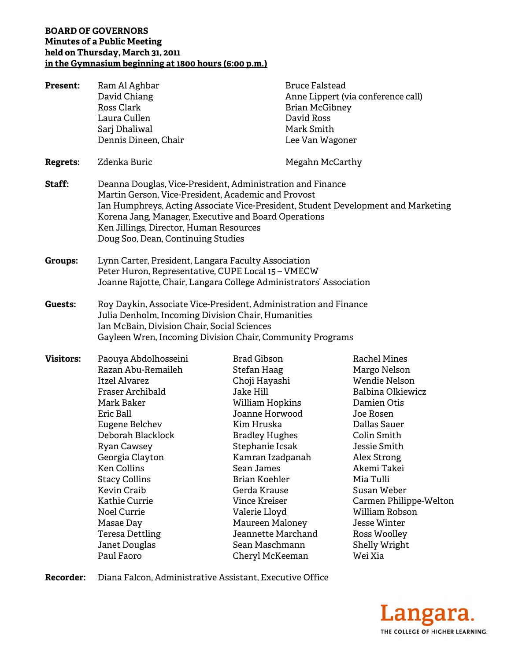## **BOARD OF GOVERNORS Minutes of a Public Meeting held on Thursday, March 31, 2011 in the Gymnasium beginning at 1800 hours (6:00 p.m.)**

| <b>Present:</b>  | Ram Al Aghbar<br>David Chiang<br>Ross Clark<br>Laura Cullen<br>Sarj Dhaliwal<br>Dennis Dineen, Chair                                                                                                                                                                                                                                                                                      | <b>Bruce Falstead</b><br><b>Brian McGibney</b><br>David Ross<br>Mark Smith<br>Lee Van Wagoner                                                                                                                                                                                                                                                     | Anne Lippert (via conference call)                                                                                                                                                                                                                                                                                     |
|------------------|-------------------------------------------------------------------------------------------------------------------------------------------------------------------------------------------------------------------------------------------------------------------------------------------------------------------------------------------------------------------------------------------|---------------------------------------------------------------------------------------------------------------------------------------------------------------------------------------------------------------------------------------------------------------------------------------------------------------------------------------------------|------------------------------------------------------------------------------------------------------------------------------------------------------------------------------------------------------------------------------------------------------------------------------------------------------------------------|
| <b>Regrets:</b>  | Zdenka Buric                                                                                                                                                                                                                                                                                                                                                                              | Megahn McCarthy                                                                                                                                                                                                                                                                                                                                   |                                                                                                                                                                                                                                                                                                                        |
| Staff:           | Deanna Douglas, Vice-President, Administration and Finance<br>Martin Gerson, Vice-President, Academic and Provost<br>Ian Humphreys, Acting Associate Vice-President, Student Development and Marketing<br>Korena Jang, Manager, Executive and Board Operations<br>Ken Jillings, Director, Human Resources<br>Doug Soo, Dean, Continuing Studies                                           |                                                                                                                                                                                                                                                                                                                                                   |                                                                                                                                                                                                                                                                                                                        |
| <b>Groups:</b>   | Lynn Carter, President, Langara Faculty Association<br>Peter Huron, Representative, CUPE Local 15 - VMECW<br>Joanne Rajotte, Chair, Langara College Administrators' Association                                                                                                                                                                                                           |                                                                                                                                                                                                                                                                                                                                                   |                                                                                                                                                                                                                                                                                                                        |
| Guests:          | Roy Daykin, Associate Vice-President, Administration and Finance<br>Julia Denholm, Incoming Division Chair, Humanities<br>Ian McBain, Division Chair, Social Sciences<br>Gayleen Wren, Incoming Division Chair, Community Programs                                                                                                                                                        |                                                                                                                                                                                                                                                                                                                                                   |                                                                                                                                                                                                                                                                                                                        |
| <b>Visitors:</b> | Paouya Abdolhosseini<br>Razan Abu-Remaileh<br><b>Itzel Alvarez</b><br>Fraser Archibald<br>Mark Baker<br>Eric Ball<br>Eugene Belchev<br>Deborah Blacklock<br><b>Ryan Cawsey</b><br>Georgia Clayton<br><b>Ken Collins</b><br><b>Stacy Collins</b><br><b>Kevin Craib</b><br><b>Kathie Currie</b><br><b>Noel Currie</b><br>Masae Day<br><b>Teresa Dettling</b><br>Janet Douglas<br>Paul Faoro | <b>Brad Gibson</b><br>Stefan Haag<br>Choji Hayashi<br>Jake Hill<br>William Hopkins<br>Joanne Horwood<br>Kim Hruska<br><b>Bradley Hughes</b><br>Stephanie Icsak<br>Kamran Izadpanah<br>Sean James<br>Brian Koehler<br>Gerda Krause<br>Vince Kreiser<br>Valerie Lloyd<br>Maureen Maloney<br>Jeannette Marchand<br>Sean Maschmann<br>Cheryl McKeeman | <b>Rachel Mines</b><br>Margo Nelson<br>Wendie Nelson<br>Balbina Olkiewicz<br>Damien Otis<br>Joe Rosen<br>Dallas Sauer<br>Colin Smith<br>Jessie Smith<br>Alex Strong<br>Akemi Takei<br>Mia Tulli<br>Susan Weber<br>Carmen Philippe-Welton<br>William Robson<br>Jesse Winter<br>Ross Woolley<br>Shelly Wright<br>Wei Xia |

**Recorder:** Diana Falcon, Administrative Assistant, Executive Office

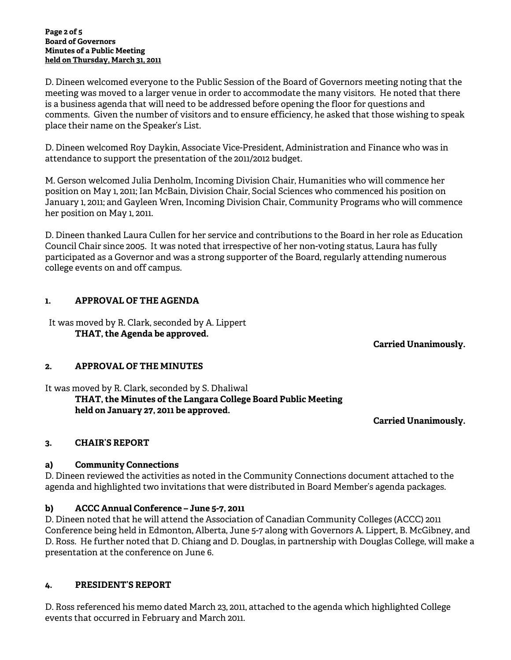#### **Page 2 of 5 Board of Governors Minutes of a Public Meeting held on Thursday, March 31, 2011**

D. Dineen welcomed everyone to the Public Session of the Board of Governors meeting noting that the meeting was moved to a larger venue in order to accommodate the many visitors. He noted that there is a business agenda that will need to be addressed before opening the floor for questions and comments. Given the number of visitors and to ensure efficiency, he asked that those wishing to speak place their name on the Speaker's List.

D. Dineen welcomed Roy Daykin, Associate Vice-President, Administration and Finance who was in attendance to support the presentation of the 2011/2012 budget.

M. Gerson welcomed Julia Denholm, Incoming Division Chair, Humanities who will commence her position on May 1, 2011; Ian McBain, Division Chair, Social Sciences who commenced his position on January 1, 2011; and Gayleen Wren, Incoming Division Chair, Community Programs who will commence her position on May 1, 2011.

D. Dineen thanked Laura Cullen for her service and contributions to the Board in her role as Education Council Chair since 2005. It was noted that irrespective of her non-voting status, Laura has fully participated as a Governor and was a strong supporter of the Board, regularly attending numerous college events on and off campus.

## **1. APPROVAL OF THE AGENDA**

It was moved by R. Clark, seconded by A. Lippert **THAT, the Agenda be approved.** 

 **Carried Unanimously.** 

## **2. APPROVAL OF THE MINUTES**

It was moved by R. Clark, seconded by S. Dhaliwal **THAT, the Minutes of the Langara College Board Public Meeting held on January 27, 2011 be approved.** 

 **Carried Unanimously.** 

## **3. CHAIR'S REPORT**

## **a) Community Connections**

D. Dineen reviewed the activities as noted in the Community Connections document attached to the agenda and highlighted two invitations that were distributed in Board Member's agenda packages.

## **b) ACCC Annual Conference – June 5-7, 2011**

D. Dineen noted that he will attend the Association of Canadian Community Colleges (ACCC) 2011 Conference being held in Edmonton, Alberta, June 5-7 along with Governors A. Lippert, B. McGibney, and D. Ross. He further noted that D. Chiang and D. Douglas, in partnership with Douglas College, will make a presentation at the conference on June 6.

## **4. PRESIDENT'S REPORT**

D. Ross referenced his memo dated March 23, 2011, attached to the agenda which highlighted College events that occurred in February and March 2011.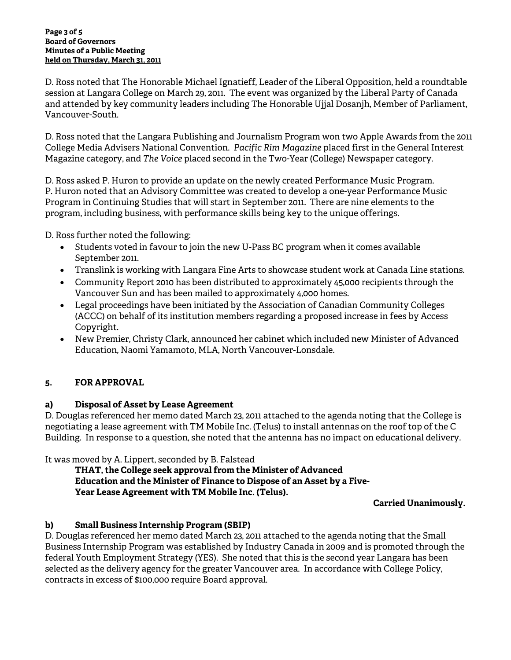#### **Page 3 of 5 Board of Governors Minutes of a Public Meeting held on Thursday, March 31, 2011**

D. Ross noted that The Honorable Michael Ignatieff, Leader of the Liberal Opposition, held a roundtable session at Langara College on March 29, 2011. The event was organized by the Liberal Party of Canada and attended by key community leaders including The Honorable Ujjal Dosanjh, Member of Parliament, Vancouver-South.

D. Ross noted that the Langara Publishing and Journalism Program won two Apple Awards from the 2011 College Media Advisers National Convention. *Pacific Rim Magazine* placed first in the General Interest Magazine category, and *The Voice* placed second in the Two-Year (College) Newspaper category.

D. Ross asked P. Huron to provide an update on the newly created Performance Music Program. P. Huron noted that an Advisory Committee was created to develop a one-year Performance Music Program in Continuing Studies that will start in September 2011. There are nine elements to the program, including business, with performance skills being key to the unique offerings.

D. Ross further noted the following:

- Students voted in favour to join the new U-Pass BC program when it comes available September 2011.
- Translink is working with Langara Fine Arts to showcase student work at Canada Line stations.
- Community Report 2010 has been distributed to approximately 45,000 recipients through the Vancouver Sun and has been mailed to approximately 4,000 homes.
- Legal proceedings have been initiated by the Association of Canadian Community Colleges (ACCC) on behalf of its institution members regarding a proposed increase in fees by Access Copyright.
- New Premier, Christy Clark, announced her cabinet which included new Minister of Advanced Education, Naomi Yamamoto, MLA, North Vancouver-Lonsdale.

# **5. FOR APPROVAL**

# **a) Disposal of Asset by Lease Agreement**

D. Douglas referenced her memo dated March 23, 2011 attached to the agenda noting that the College is negotiating a lease agreement with TM Mobile Inc. (Telus) to install antennas on the roof top of the C Building. In response to a question, she noted that the antenna has no impact on educational delivery.

It was moved by A. Lippert, seconded by B. Falstead

**THAT, the College seek approval from the Minister of Advanced Education and the Minister of Finance to Dispose of an Asset by a Five- Year Lease Agreement with TM Mobile Inc. (Telus).** 

**Carried Unanimously.**

# **b) Small Business Internship Program (SBIP)**

D. Douglas referenced her memo dated March 23, 2011 attached to the agenda noting that the Small Business Internship Program was established by Industry Canada in 2009 and is promoted through the federal Youth Employment Strategy (YES). She noted that this is the second year Langara has been selected as the delivery agency for the greater Vancouver area. In accordance with College Policy, contracts in excess of \$100,000 require Board approval.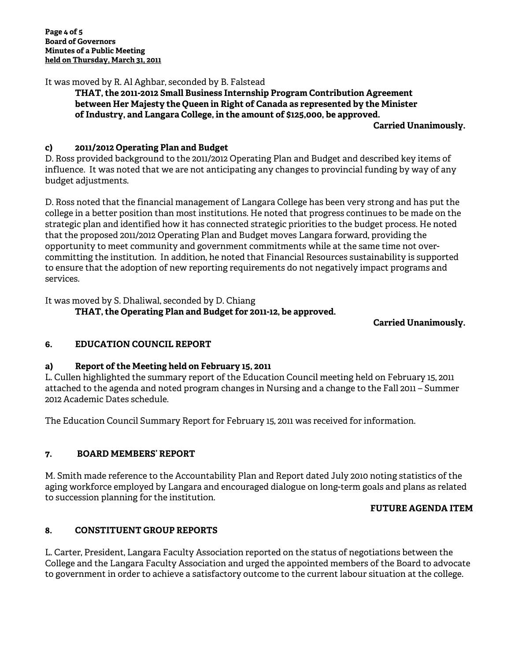It was moved by R. Al Aghbar, seconded by B. Falstead

**THAT, the 2011-2012 Small Business Internship Program Contribution Agreement between Her Majesty the Queen in Right of Canada as represented by the Minister of Industry, and Langara College, in the amount of \$125,000, be approved.** 

**Carried Unanimously.** 

## **c) 2011/2012 Operating Plan and Budget**

D. Ross provided background to the 2011/2012 Operating Plan and Budget and described key items of influence. It was noted that we are not anticipating any changes to provincial funding by way of any budget adjustments.

D. Ross noted that the financial management of Langara College has been very strong and has put the college in a better position than most institutions. He noted that progress continues to be made on the strategic plan and identified how it has connected strategic priorities to the budget process. He noted that the proposed 2011/2012 Operating Plan and Budget moves Langara forward, providing the opportunity to meet community and government commitments while at the same time not overcommitting the institution. In addition, he noted that Financial Resources sustainability is supported to ensure that the adoption of new reporting requirements do not negatively impact programs and services.

It was moved by S. Dhaliwal, seconded by D. Chiang

## **THAT, the Operating Plan and Budget for 2011-12, be approved.**

**Carried Unanimously.** 

## **6. EDUCATION COUNCIL REPORT**

## **a) Report of the Meeting held on February 15, 2011**

L. Cullen highlighted the summary report of the Education Council meeting held on February 15, 2011 attached to the agenda and noted program changes in Nursing and a change to the Fall 2011 – Summer 2012 Academic Dates schedule.

The Education Council Summary Report for February 15, 2011 was received for information.

## **7. BOARD MEMBERS' REPORT**

M. Smith made reference to the Accountability Plan and Report dated July 2010 noting statistics of the aging workforce employed by Langara and encouraged dialogue on long-term goals and plans as related to succession planning for the institution.

## **FUTURE AGENDA ITEM**

## **8. CONSTITUENT GROUP REPORTS**

L. Carter, President, Langara Faculty Association reported on the status of negotiations between the College and the Langara Faculty Association and urged the appointed members of the Board to advocate to government in order to achieve a satisfactory outcome to the current labour situation at the college.